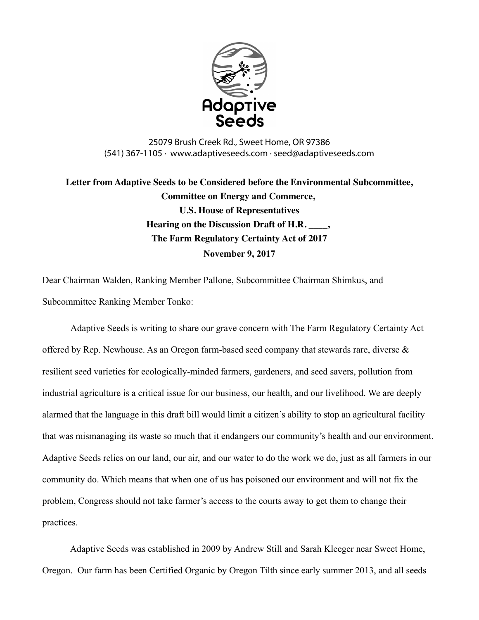

25079 Brush Creek Rd., Sweet Home, OR 97386 (541) 367-1105 · www.adaptiveseeds.com · seed@adaptiveseeds.com

**Letter from Adaptive Seeds to be Considered before the Environmental Subcommittee, Committee on Energy and Commerce, U.S. House of Representatives Hearing on the Discussion Draft of H.R. \_\_\_\_, The Farm Regulatory Certainty Act of 2017 November 9, 2017**

Dear Chairman Walden, Ranking Member Pallone, Subcommittee Chairman Shimkus, and Subcommittee Ranking Member Tonko:

Adaptive Seeds is writing to share our grave concern with The Farm Regulatory Certainty Act offered by Rep. Newhouse. As an Oregon farm-based seed company that stewards rare, diverse & resilient seed varieties for ecologically-minded farmers, gardeners, and seed savers, pollution from industrial agriculture is a critical issue for our business, our health, and our livelihood. We are deeply alarmed that the language in this draft bill would limit a citizen's ability to stop an agricultural facility that was mismanaging its waste so much that it endangers our community's health and our environment. Adaptive Seeds relies on our land, our air, and our water to do the work we do, just as all farmers in our community do. Which means that when one of us has poisoned our environment and will not fix the problem, Congress should not take farmer's access to the courts away to get them to change their practices.

Adaptive Seeds was established in 2009 by Andrew Still and Sarah Kleeger near Sweet Home, Oregon. Our farm has been Certified Organic by Oregon Tilth since early summer 2013, and all seeds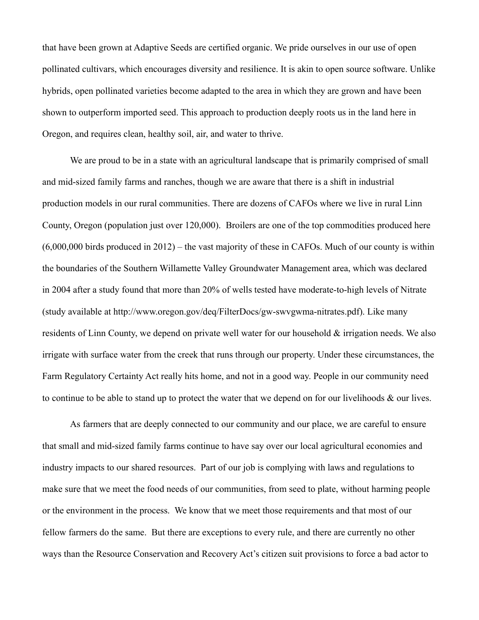that have been grown at Adaptive Seeds are certified organic. We pride ourselves in our use of open pollinated cultivars, which encourages diversity and resilience. It is akin to open source software. Unlike hybrids, open pollinated varieties become adapted to the area in which they are grown and have been shown to outperform imported seed. This approach to production deeply roots us in the land here in Oregon, and requires clean, healthy soil, air, and water to thrive.

We are proud to be in a state with an agricultural landscape that is primarily comprised of small and mid-sized family farms and ranches, though we are aware that there is a shift in industrial production models in our rural communities. There are dozens of CAFOs where we live in rural Linn County, Oregon (population just over 120,000). Broilers are one of the top commodities produced here (6,000,000 birds produced in 2012) – the vast majority of these in CAFOs. Much of our county is within the boundaries of the Southern Willamette Valley Groundwater Management area, which was declared in 2004 after a study found that more than 20% of wells tested have moderate-to-high levels of Nitrate (study available at http://www.oregon.gov/deq/FilterDocs/gw-swvgwma-nitrates.pdf). Like many residents of Linn County, we depend on private well water for our household & irrigation needs. We also irrigate with surface water from the creek that runs through our property. Under these circumstances, the Farm Regulatory Certainty Act really hits home, and not in a good way. People in our community need to continue to be able to stand up to protect the water that we depend on for our livelihoods & our lives.

As farmers that are deeply connected to our community and our place, we are careful to ensure that small and mid-sized family farms continue to have say over our local agricultural economies and industry impacts to our shared resources. Part of our job is complying with laws and regulations to make sure that we meet the food needs of our communities, from seed to plate, without harming people or the environment in the process. We know that we meet those requirements and that most of our fellow farmers do the same. But there are exceptions to every rule, and there are currently no other ways than the Resource Conservation and Recovery Act's citizen suit provisions to force a bad actor to